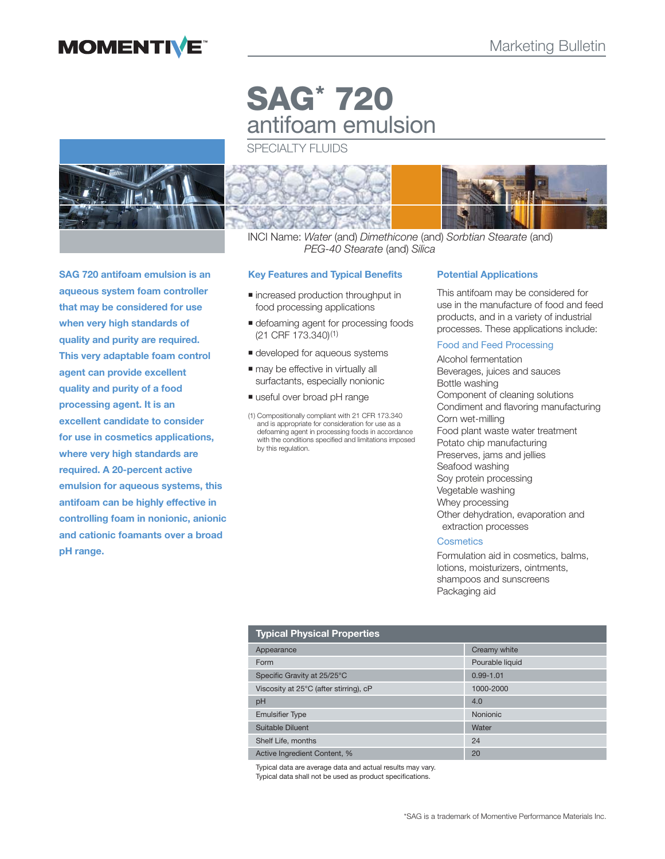## **MOMENTIVE**



**SAG 720 antifoam emulsion is an aqueous system foam controller that may be considered for use when very high standards of quality and purity are required. This very adaptable foam control agent can provide excellent quality and purity of a food processing agent. It is an excellent candidate to consider for use in cosmetics applications, where very high standards are required. A 20-percent active emulsion for aqueous systems, this antifoam can be highly effective in controlling foam in nonionic, anionic and cationic foamants over a broad pH range.**

# **SAG\* 720** antifoam emulsion

SPECIALTY FLUIDS



INCI Name: Water (and) Dimethicone (and) Sorbtian Stearate (and) PEG-40 Stearate (and) Silica

#### **Key Features and Typical Benefits**

- $\blacksquare$  increased production throughput in food processing applications
- **defoaming agent for processing foods** (21 CRF 173.340)(1)
- $\blacksquare$  developed for aqueous systems
- $\blacksquare$  may be effective in virtually all surfactants, especially nonionic
- useful over broad pH range
- (1) Compositionally compliant with 21 CFR 173.340 and is appropriate for consideration for use as a defoaming agent in processing foods in accordance with the conditions specified and limitations imposed by this regulation.

#### **Potential Applications**

This antifoam may be considered for use in the manufacture of food and feed products, and in a variety of industrial processes. These applications include:

## Food and Feed Processing

Alcohol fermentation Beverages, juices and sauces Bottle washing Component of cleaning solutions Condiment and flavoring manufacturing Corn wet-milling Food plant waste water treatment Potato chip manufacturing Preserves, jams and jellies Seafood washing Soy protein processing Vegetable washing Whey processing Other dehydration, evaporation and extraction processes

## **Cosmetics**

Formulation aid in cosmetics, balms, lotions, moisturizers, ointments, shampoos and sunscreens Packaging aid

## **Typical Physical Properties**

| <b>i</b> ypical i llysical i Topel des |                 |  |
|----------------------------------------|-----------------|--|
| Appearance                             | Creamy white    |  |
| Form                                   | Pourable liquid |  |
| Specific Gravity at 25/25°C            | $0.99 - 1.01$   |  |
| Viscosity at 25°C (after stirring), cP | 1000-2000       |  |
| pH                                     | 4.0             |  |
| <b>Emulsifier Type</b>                 | <b>Nonionic</b> |  |
| Suitable Diluent                       | Water           |  |
| Shelf Life, months                     | 24              |  |
| Active Ingredient Content, %           | 20              |  |

Typical data are average data and actual results may vary. Typical data shall not be used as product specifications.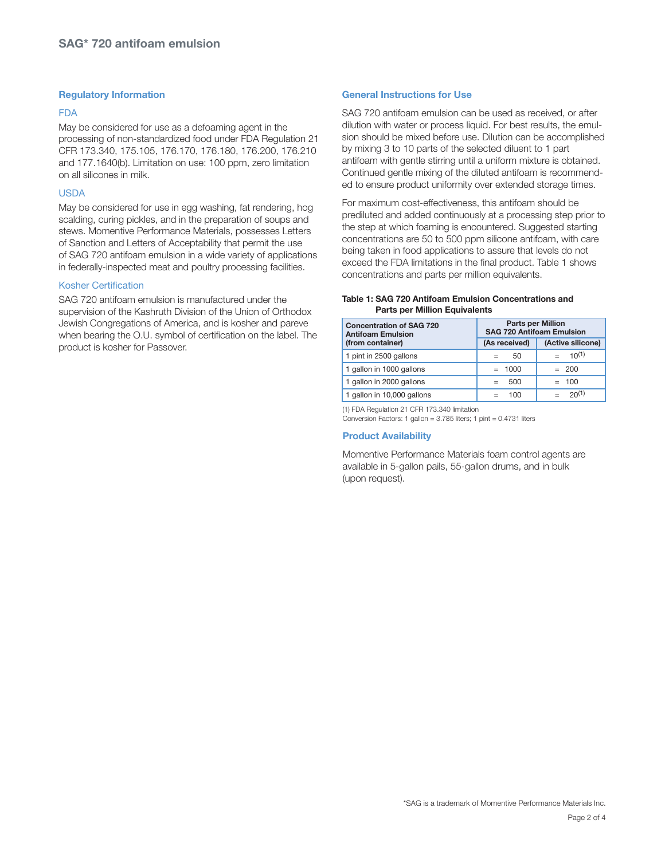## **Regulatory Information**

#### FDA

May be considered for use as a defoaming agent in the processing of non-standardized food under FDA Regulation 21 CFR 173.340, 175.105, 176.170, 176.180, 176.200, 176.210 and 177.1640(b). Limitation on use: 100 ppm, zero limitation on all silicones in milk.

#### USDA

May be considered for use in egg washing, fat rendering, hog scalding, curing pickles, and in the preparation of soups and stews. Momentive Performance Materials, possesses Letters of Sanction and Letters of Acceptability that permit the use of SAG 720 antifoam emulsion in a wide variety of applications in federally-inspected meat and poultry processing facilities.

#### Kosher Certification

SAG 720 antifoam emulsion is manufactured under the supervision of the Kashruth Division of the Union of Orthodox Jewish Congregations of America, and is kosher and pareve when bearing the O.U. symbol of certification on the label. The product is kosher for Passover.

#### **General Instructions for Use**

SAG 720 antifoam emulsion can be used as received, or after dilution with water or process liquid. For best results, the emulsion should be mixed before use. Dilution can be accomplished by mixing 3 to 10 parts of the selected diluent to 1 part antifoam with gentle stirring until a uniform mixture is obtained. Continued gentle mixing of the diluted antifoam is recommended to ensure product uniformity over extended storage times.

For maximum cost-effectiveness, this antifoam should be prediluted and added continuously at a processing step prior to the step at which foaming is encountered. Suggested starting concentrations are 50 to 500 ppm silicone antifoam, with care being taken in food applications to assure that levels do not exceed the FDA limitations in the final product. Table 1 shows concentrations and parts per million equivalents.

#### **Table 1: SAG 720 Antifoam Emulsion Concentrations and Parts per Million Equivalents**

| <b>Concentration of SAG 720</b><br><b>Antifoam Emulsion</b> | <b>Parts per Million</b><br><b>SAG 720 Antifoam Emulsion</b> |                   |
|-------------------------------------------------------------|--------------------------------------------------------------|-------------------|
| (from container)                                            | (As received)                                                | (Active silicone) |
| 1 pint in 2500 gallons                                      | 50<br>$=$                                                    | $10^{(1)}$        |
| 1 gallon in 1000 gallons                                    | $= 1000$                                                     | $= 200$           |
| 1 gallon in 2000 gallons                                    | 500                                                          | $= 100$           |
| 1 gallon in 10,000 gallons                                  | 100                                                          | 20(1)             |

(1) FDA Regulation 21 CFR 173.340 limitation

Conversion Factors: 1 gallon = 3.785 liters; 1 pint = 0.4731 liters

#### **Product Availability**

Momentive Performance Materials foam control agents are available in 5-gallon pails, 55-gallon drums, and in bulk (upon request).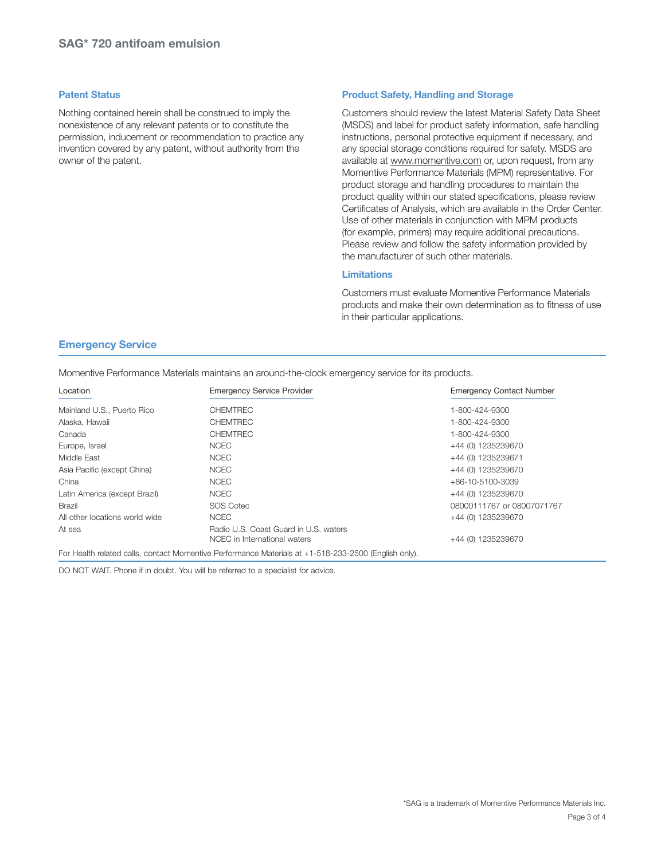#### **Patent Status**

Nothing contained herein shall be construed to imply the nonexistence of any relevant patents or to constitute the permission, inducement or recommendation to practice any invention covered by any patent, without authority from the owner of the patent.

#### **Product Safety, Handling and Storage**

Customers should review the latest Material Safety Data Sheet (MSDS) and label for product safety information, safe handling instructions, personal protective equipment if necessary, and any special storage conditions required for safety. MSDS are available at www.momentive.com or, upon request, from any Momentive Performance Materials (MPM) representative. For product storage and handling procedures to maintain the product quality within our stated specifications, please review Certificates of Analysis, which are available in the Order Center. Use of other materials in conjunction with MPM products (for example, primers) may require additional precautions. Please review and follow the safety information provided by the manufacturer of such other materials.

#### **Limitations**

Customers must evaluate Momentive Performance Materials products and make their own determination as to fitness of use in their particular applications.

#### **Emergency Service**

Momentive Performance Materials maintains an around-the-clock emergency service for its products.

| Location                       | <b>Emergency Service Provider</b>                                     | <b>Emergency Contact Number</b> |
|--------------------------------|-----------------------------------------------------------------------|---------------------------------|
| Mainland U.S., Puerto Rico     | <b>CHEMTREC</b>                                                       | 1-800-424-9300                  |
| Alaska, Hawaii                 | <b>CHEMTREC</b>                                                       | 1-800-424-9300                  |
| Canada                         | <b>CHEMTREC</b>                                                       | 1-800-424-9300                  |
| Europe, Israel                 | <b>NCEC</b>                                                           | +44 (0) 1235239670              |
| Middle East                    | <b>NCEC</b>                                                           | +44 (0) 1235239671              |
| Asia Pacific (except China)    | <b>NCEC</b>                                                           | +44 (0) 1235239670              |
| China                          | <b>NCEC</b>                                                           | $+86-10-5100-3039$              |
| Latin America (except Brazil)  | <b>NCEC</b>                                                           | +44 (0) 1235239670              |
| <b>Brazil</b>                  | <b>SOS Cotec</b>                                                      | 08000111767 or 08007071767      |
| All other locations world wide | <b>NCEC</b>                                                           | +44 (0) 1235239670              |
| At sea                         | Radio U.S. Coast Guard in U.S. waters<br>NCEC in International waters | +44 (0) 1235239670              |

For Health related calls, contact Momentive Performance Materials at +1-518-233-2500 (English only).

DO NOT WAIT. Phone if in doubt. You will be referred to a specialist for advice.